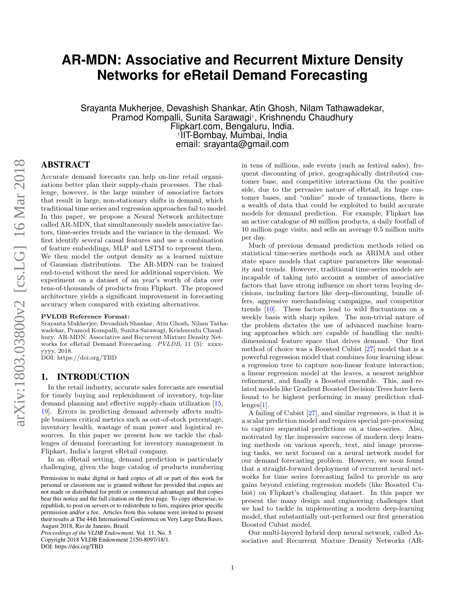# **AR-MDN: Associative and Recurrent Mixture Density Networks for eRetail Demand Forecasting**

Srayanta Mukherjee, Devashish Shankar, Atin Ghosh, Nilam Tathawadekar, Pramod Kompalli, Sunita Sarawagi† , Krishnendu Chaudhury Flipkart.com, Bengaluru, India. † IIT-Bombay, Mumbai, India email: srayanta@gmail.com

# ABSTRACT

Accurate demand forecasts can help on-line retail organizations better plan their supply-chain processes. The challenge, however, is the large number of associative factors that result in large, non-stationary shifts in demand, which traditional time series and regression approaches fail to model. In this paper, we propose a Neural Network architecture called AR-MDN, that simultaneously models associative factors, time-series trends and the variance in the demand. We first identify several causal features and use a combination of feature embeddings, MLP and LSTM to represent them. We then model the output density as a learned mixture of Gaussian distributions. The AR-MDN can be trained end-to-end without the need for additional supervision. We experiment on a dataset of an year's worth of data over tens-of-thousands of products from Flipkart. The proposed architecture yields a significant improvement in forecasting accuracy when compared with existing alternatives.

#### PVLDB Reference Format:

Srayanta Mukherjee, Devashish Shankar, Atin Ghosh, Nilam Tathawadekar, Pramod Kompalli, Sunita Sarawagi, Krishnendu Chaudhury. AR-MDN: Associative and Recurrent Mixture Density Networks for eRetail Demand Forecasting. PVLDB, 11 (5): xxxxyyyy, 2018.

DOI: https://doi.org/TBD

# 1. INTRODUCTION

In the retail industry, accurate sales forecasts are essential for timely buying and replenishment of inventory, top-line demand planning and effective supply-chain utilization [\[15,](#page-11-0) [19\]](#page-11-1). Errors in predicting demand adversely affects multiple business critical metrics such as out-of-stock percentage, inventory health, wastage of man power and logistical resources. In this paper we present how we tackle the challenges of demand forecasting for inventory management in Flipkart, India's largest eRetail company.

In an eRetail setting, demand prediction is particularly challenging, given the huge catalog of products numbering

*Proceedings of the VLDB Endowment,* Vol. 11, No. 5 Copyright 2018 VLDB Endowment 2150-8097/18/1.

DOI: https://doi.org/TBD

in tens of millions, sale events (such as festival sales), frequent discounting of price, geographically distributed customer base, and competitive interactions On the positive side, due to the pervasive nature of eRetail, its huge customer bases, and "online" mode of transactions, there is a wealth of data that could be exploited to build accurate models for demand prediction. For example, Flipkart has an active catalogue of 80 million products, a daily footfall of 10 million page visits, and sells an average 0.5 million units per day.

Much of previous demand prediction methods relied on statistical time-series methods such as ARIMA and other state space models that capture parameters like seasonality and trends. However, traditional time-series models are incapable of taking into account a number of associative factors that have strong influence on short term buying decisions, including factors like deep-discounting, bundle offers, aggressive merchandising campaigns, and competitor trends [\[10\]](#page-11-2). These factors lead to wild fluctuations on a weekly basis with sharp spikes. The non-trivial nature of the problem dictates the use of advanced machine learning approaches which are capable of handling the multidimensional feature space that drives demand. Our first method of choice was a Boosted Cubist [\[27\]](#page-11-3) model that is a powerful regression model that combines four learning ideas: a regression tree to capture non-linear feature interaction, a linear regression model at the leaves, a nearest neighbor refinement, and finally a Boosted ensemble. This, and related models like Gradient Boosted Decision Trees have been found to be highest performing in many prediction challenges[\[1\]](#page-10-0).

A failing of Cubist [\[27\]](#page-11-3), and similar regressors, is that it is a scalar prediction model and requires special pre-processing to capture sequential predictions on a time-series. Also, motivated by the impressive success of modern deep learning methods on various speech, text, and image processing tasks, we next focused on a neural network model for our demand forecasting problem. However, we soon found that a straight-forward deployment of recurrent neural networks for time series forecasting failed to provide us any gains beyond existing regression models (like Boosted Cubist) on Flipkart's challenging dataset. In this paper we present the many design and engineering challenges that we had to tackle in implementing a modern deep-learning model, that substantially out-performed our first generation Boosted Cubist model.

Our multi-layered hybrid deep neural network, called Associative and Recurrent Mixture Density Networks (AR-

Permission to make digital or hard copies of all or part of this work for personal or classroom use is granted without fee provided that copies are not made or distributed for profit or commercial advantage and that copies bear this notice and the full citation on the first page. To copy otherwise, to republish, to post on servers or to redistribute to lists, requires prior specific permission and/or a fee. Articles from this volume were invited to present their results at The 44th International Conference on Very Large Data Bases, August 2018, Rio de Janeiro, Brazil.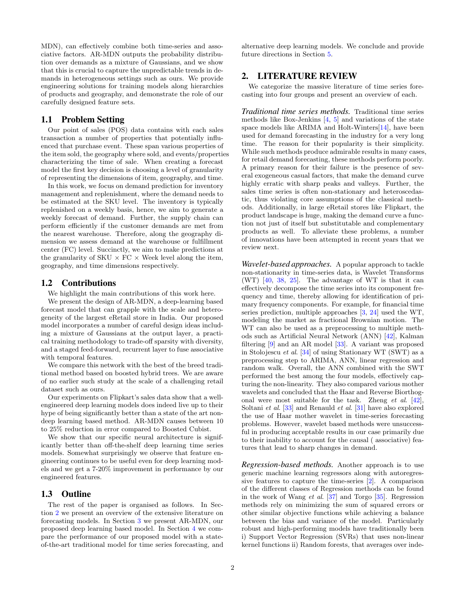MDN), can effectively combine both time-series and associative factors. AR-MDN outputs the probability distribution over demands as a mixture of Gaussians, and we show that this is crucial to capture the unpredictable trends in demands in heterogeneous settings such as ours. We provide engineering solutions for training models along hierarchies of products and geography, and demonstrate the role of our carefully designed feature sets.

### 1.1 Problem Setting

Our point of sales (POS) data contains with each sales transaction a number of properties that potentially influenced that purchase event. These span various properties of the item sold, the geography where sold, and events/properties characterizing the time of sale. When creating a forecast model the first key decision is choosing a level of granularity of representing the dimensions of item, geography, and time.

In this work, we focus on demand prediction for inventory management and replenishment, where the demand needs to be estimated at the SKU level. The inventory is typically replenished on a weekly basis, hence, we aim to generate a weekly forecast of demand. Further, the supply chain can perform efficiently if the customer demands are met from the nearest warehouse. Therefore, along the geography dimension we assess demand at the warehouse or fulfillment center (FC) level. Succinctly, we aim to make predictions at the granularity of SKU  $\times$  FC  $\times$  Week level along the item, geography, and time dimensions respectively.

#### 1.2 Contributions

We highlight the main contributions of this work here.

We present the design of AR-MDN, a deep-learning based forecast model that can grapple with the scale and heterogeneity of the largest eRetail store in India. Our proposed model incorporates a number of careful design ideas including a mixture of Gaussians at the output layer, a practical training methodology to trade-off sparsity with diversity, and a staged feed-forward, recurrent layer to fuse associative with temporal features.

We compare this network with the best of the breed traditional method based on boosted hybrid trees. We are aware of no earlier such study at the scale of a challenging retail dataset such as ours.

Our experiments on Flipkart's sales data show that a wellengineered deep learning models does indeed live up to their hype of being significantly better than a state of the art nondeep learning based method. AR-MDN causes between 10 to 25% reduction in error compared to Boosted Cubist.

We show that our specific neural architecture is significantly better than off-the-shelf deep learning time series models. Somewhat surprisingly we observe that feature engineering continues to be useful even for deep learning models and we get a 7-20% improvement in performance by our engineered features.

### 1.3 Outline

The rest of the paper is organised as follows. In Section [2](#page-1-0) we present an overview of the extensive literature on forecasting models. In Section [3](#page-2-0) we present AR-MDN, our proposed deep learning based model. In Section [4](#page-5-0) we compare the performance of our proposed model with a stateof-the-art traditional model for time series forecasting, and alternative deep learning models. We conclude and provide future directions in Section [5.](#page-10-1)

## <span id="page-1-0"></span>2. LITERATURE REVIEW

We categorize the massive literature of time series forecasting into four groups and present an overview of each.

*Traditional time series methods.* Traditional time series methods like Box-Jenkins  $\left[4, 5\right]$  $\left[4, 5\right]$  $\left[4, 5\right]$  and variations of the state space models like ARIMA and Holt-Winters[\[14\]](#page-11-6), have been used for demand forecasting in the industry for a very long time. The reason for their popularity is their simplicity. While such methods produce admirable results in many cases, for retail demand forecasting, these methods perform poorly. A primary reason for their failure is the presence of several exogeneous casual factors, that make the demand curve highly erratic with sharp peaks and valleys. Further, the sales time series is often non-stationary and heteroscedastic, thus violating core assumptions of the classical methods. Additionally, in large eRetail stores like Flipkart, the product landscape is huge, making the demand curve a function not just of itself but substitutable and complementary products as well. To alleviate these problems, a number of innovations have been attempted in recent years that we review next.

*Wavelet-based approaches.* A popular approach to tackle non-stationarity in time-series data, is Wavelet Transforms (WT) [\[40,](#page-12-0) [38,](#page-12-1) [25\]](#page-11-7). The advantage of WT is that it can effectively decompose the time series into its component frequency and time, thereby allowing for identification of primary frequency components. For example, for financial time series prediction, multiple approaches [\[3,](#page-11-8) [24\]](#page-11-9) used the WT, modeling the market as fractional Brownian motion. The WT can also be used as a preprocessing to multiple methods such as Artificial Neural Network (ANN) [\[42\]](#page-12-2), Kalman filtering [\[9\]](#page-11-10) and an AR model [\[33\]](#page-11-11). A variant was proposed in Stolojescu et al. [\[34\]](#page-11-12) of using Stationary WT (SWT) as a preprocessing step to ARIMA, ANN, linear regression and random walk. Overall, the ANN combined with the SWT performed the best among the four models, effectively capturing the non-linearity. They also compared various mother wavelets and concluded that the Haar and Reverse Biorthogonal were most suitable for the task. Zheng et al. [\[42\]](#page-12-2), Soltani *et al.* [\[33\]](#page-11-11) and Renauld *et al.* [\[31\]](#page-11-13) have also explored the use of Haar mother wavelet in time-series forecasting problems. However, wavelet based methods were unsuccessful in producing acceptable results in our case primarily due to their inability to account for the causal ( associative) features that lead to sharp changes in demand.

*Regression-based methods.* Another approach is to use generic machine learning regressors along with autoregressive features to capture the time-series [\[2\]](#page-10-2). A comparison of the different classes of Regression methods can be found in the work of Wang et al. [\[37\]](#page-12-3) and Torgo [\[35\]](#page-11-14). Regression methods rely on minimizing the sum of squared errors or other similar objective functions while achieving a balance between the bias and variance of the model. Particularly robust and high-performing models have traditionally been i) Support Vector Regression (SVRs) that uses non-linear kernel functions ii) Random forests, that averages over inde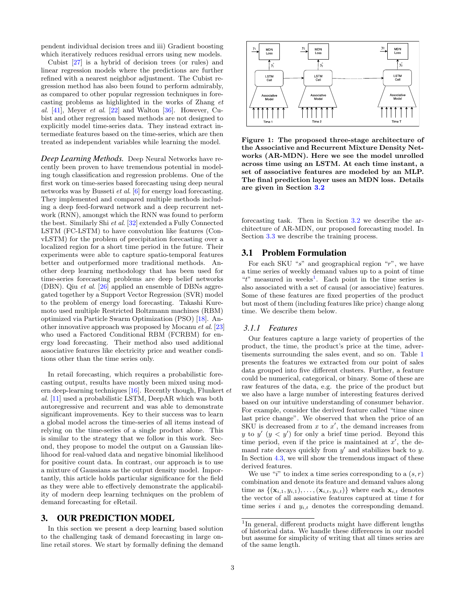pendent individual decision trees and iii) Gradient boosting which iteratively reduces residual errors using new models.

Cubist [\[27\]](#page-11-3) is a hybrid of decision trees (or rules) and linear regression models where the predictions are further refined with a nearest neighbor adjustment. The Cubist regression method has also been found to perform admirably, as compared to other popular regression techniques in forecasting problems as highlighted in the works of Zhang et al.  $[41]$ , Meyer *et al.*  $[22]$  and Walton  $[36]$ . However, Cubist and other regression based methods are not designed to explicitly model time-series data. They instead extract intermediate features based on the time-series, which are then treated as independent variables while learning the model.

*Deep Learning Methods.* Deep Neural Networks have recently been proven to have tremendous potential in modeling tough classification and regression problems. One of the first work on time-series based forecasting using deep neural networks was by Busseti *et al.* [\[6\]](#page-11-17) for energy load forecasting. They implemented and compared multiple methods including a deep feed-forward network and a deep recurrent network (RNN), amongst which the RNN was found to perform the best. Similarly Shi et al. [\[32\]](#page-11-18) extended a Fully Connected LSTM (FC-LSTM) to have convolution like features (ConvLSTM) for the problem of precipitation forecasting over a localized region for a short time period in the future. Their experiments were able to capture spatio-temporal features better and outperformed more traditional methods. Another deep learning methodology that has been used for time-series forecasting problems are deep belief networks (DBN). Qiu et al. [\[26\]](#page-11-19) applied an ensemble of DBNs aggregated together by a Support Vector Regression (SVR) model to the problem of energy load forecasting. Takashi Kuremoto used multiple Restricted Boltzmann machines (RBM) optimized via Particle Swarm Optimization (PSO) [\[18\]](#page-11-20). Another innovative approach was proposed by Mocanu et al. [\[23\]](#page-11-21) who used a Factored Conditional RBM (FCRBM) for energy load forecasting. Their method also used additional associative features like electricity price and weather conditions other than the time series only.

In retail forecasting, which requires a probabilistic forecasting output, results have mostly been mixed using modern deep-learning techniques  $[16]$ . Recently though, Flunkert  $et$ al. [\[11\]](#page-11-23) used a probabilistic LSTM, DeepAR which was both autoregressive and recurrent and was able to demonstrate significant improvements. Key to their success was to learn a global model across the time-series of all items instead of relying on the time-series of a single product alone. This is similar to the strategy that we follow in this work. Second, they propose to model the output on a Gaussian likelihood for real-valued data and negative binomial likelihood for positive count data. In contrast, our approach is to use a mixture of Gaussians as the output density model. Importantly, this article holds particular significance for the field as they were able to effectively demonstrate the applicability of modern deep learning techniques on the problem of demand forecasting for eRetail.

## <span id="page-2-0"></span>3. OUR PREDICTION MODEL

In this section we present a deep learning based solution to the challenging task of demand forecasting in large online retail stores. We start by formally defining the demand



<span id="page-2-2"></span>Figure 1: The proposed three-stage architecture of the Associative and Recurrent Mixture Density Networks (AR-MDN). Here we see the model unrolled across time using an LSTM. At each time instant, a set of associative features are modeled by an MLP. The final prediction layer uses an MDN loss. Details are given in Section [3.2](#page-3-0)

forecasting task. Then in Section [3.2](#page-3-0) we describe the architecture of AR-MDN, our proposed forecasting model. In Section [3.3](#page-5-1) we describe the training process.

#### 3.1 Problem Formulation

For each SKU " $s$ " and geographical region " $r$ ", we have a time series of weekly demand values up to a point of time " $t$ " measured in weeks<sup>[1](#page-2-1)</sup>. Each point in the time series is also associated with a set of causal (or associative) features. Some of these features are fixed properties of the product but most of them (including features like price) change along time. We describe them below.

#### <span id="page-2-3"></span>*3.1.1 Features*

Our features capture a large variety of properties of the product, the time, the product's price at the time, advertisements surrounding the sales event, and so on. Table [1](#page-4-0) presents the features we extracted from our point of sales data grouped into five different clusters. Further, a feature could be numerical, categorical, or binary. Some of these are raw features of the data, e.g. the price of the product but we also have a large number of interesting features derived based on our intuitive understanding of consumer behavior. For example, consider the derived feature called "time since last price change". We observed that when the price of an SKU is decreased from  $x$  to  $x'$ , the demand increases from y to  $y'$   $(y < y')$  for only a brief time period. Beyond this time period, even if the price is maintained at  $x'$ , the demand rate decays quickly from  $y'$  and stabilizes back to  $y$ . In Section [4.3,](#page-10-3) we will show the tremendous impact of these derived features.

We use "i" to index a time series corresponding to a  $(s, r)$ combination and denote its feature and demand values along time as  $\{(\mathbf{x}_{i,1}, y_{i,1}), \ldots, (\mathbf{x}_{i,t}, y_{i,t})\}$  where each  $\mathbf{x}_{i,t}$  denotes the vector of all associative features captured at time  $t$  for time series i and  $y_{i,t}$  denotes the corresponding demand.

<span id="page-2-1"></span><sup>&</sup>lt;sup>1</sup>In general, different products might have different lengths of historical data. We handle these differences in our model but assume for simplicity of writing that all times series are of the same length.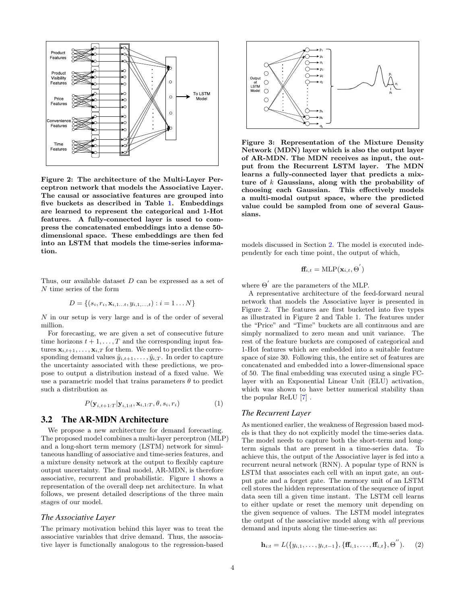

<span id="page-3-1"></span>Figure 2: The architecture of the Multi-Layer Perceptron network that models the Associative Layer. The causal or associative features are grouped into five buckets as described in Table [1.](#page-4-0) Embeddings are learned to represent the categorical and 1-Hot features. A fully-connected layer is used to compress the concatenated embeddings into a dense 50 dimensional space. These embeddings are then fed into an LSTM that models the time-series information.

Thus, our available dataset D can be expressed as a set of N time series of the form

$$
D = \{(s_i, r_i, \mathbf{x}_{i,1...t}, y_{i,1,...,t}) : i = 1...N\}
$$

N in our setup is very large and is of the order of several million.

For forecasting, we are given a set of consecutive future time horizons  $t + 1, \ldots, T$  and the corresponding input features  $\mathbf{x}_{i,t+1}, \ldots, \mathbf{x}_{i,T}$  for them. We need to predict the corresponding demand values  $\hat{y}_{i,t+1}, \ldots, \hat{y}_{i,T}$ . In order to capture the uncertainty associated with these predictions, we propose to output a distribution instead of a fixed value. We use a parametric model that trains parameters  $\theta$  to predict such a distribution as

$$
P(\mathbf{y}_{i,t+1:T}|\mathbf{y}_{i,1:t},\mathbf{x}_{i,1:T},\theta,s_i,r_i)
$$
\n
$$
(1)
$$

## <span id="page-3-0"></span>3.2 The AR-MDN Architecture

We propose a new architecture for demand forecasting. The proposed model combines a multi-layer perceptron (MLP) and a long-short term memory (LSTM) network for simultaneous handling of associative and time-series features, and a mixture density network at the output to flexibly capture output uncertainty. The final model, AR-MDN, is therefore associative, recurrent and probabilistic. Figure [1](#page-2-2) shows a representation of the overall deep net architecture. In what follows, we present detailed descriptions of the three main stages of our model.

#### *The Associative Layer*

The primary motivation behind this layer was to treat the associative variables that drive demand. Thus, the associative layer is functionally analogous to the regression-based



Figure 3: Representation of the Mixture Density Network (MDN) layer which is also the output layer of AR-MDN. The MDN receives as input, the output from the Recurrent LSTM layer. The MDN learns a fully-connected layer that predicts a mixture of  $k$  Gaussians, along with the probability of choosing each Gaussian. This effectively models a multi-modal output space, where the predicted value could be sampled from one of several Gaussians.

models discussed in Section [2.](#page-1-0) The model is executed independently for each time point, the output of which,

$$
\mathbf{ff}_{i,t} = \text{MLP}(\mathbf{x}_{i,t}, \Theta^{'})
$$

where  $\Theta'$  are the parameters of the MLP.

A representative architecture of the feed-forward neural network that models the Associative layer is presented in Figure [2.](#page-3-1) The features are first bucketed into five types as illustrated in Figure 2 and Table 1. The features under the "Price" and "Time" buckets are all continuous and are simply normalized to zero mean and unit variance. The rest of the feature buckets are composed of categorical and 1-Hot features which are embedded into a suitable feature space of size 30. Following this, the entire set of features are concatenated and embedded into a lower-dimensional space of 50. The final embedding was executed using a single FClayer with an Exponential Linear Unit (ELU) activation, which was shown to have better numerical stability than the popular ReLU [\[7\]](#page-11-24) .

#### *The Recurrent Layer*

As mentioned earlier, the weakness of Regression based models is that they do not explicitly model the time-series data. The model needs to capture both the short-term and longterm signals that are present in a time-series data. To achieve this, the output of the Associative layer is fed into a recurrent neural network (RNN). A popular type of RNN is LSTM that associates each cell with an input gate, an output gate and a forget gate. The memory unit of an LSTM cell stores the hidden representation of the sequence of input data seen till a given time instant. The LSTM cell learns to either update or reset the memory unit depending on the given sequence of values. The LSTM model integrates the output of the associative model along with all previous demand and inputs along the time-series as:

$$
\mathbf{h}_{i:t} = L(\{y_{i,1},\ldots,y_{i,t-1}\},\{\mathbf{ff}_{i,1},\ldots,\mathbf{ff}_{i,t}\},\Theta^{''})
$$
. (2)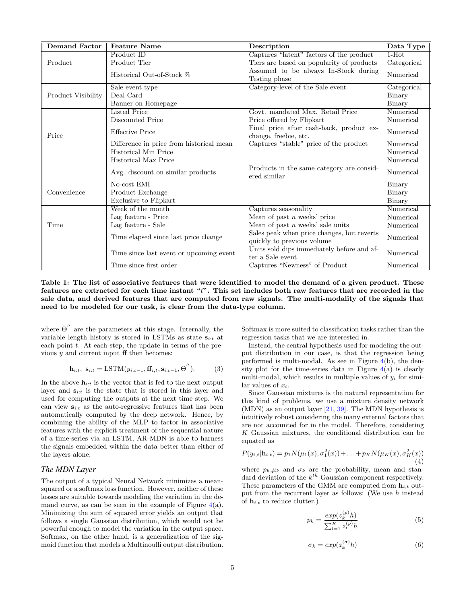| <b>Demand Factor</b> | <b>Feature Name</b>                      | <b>Description</b>                                                       | Data Type   |
|----------------------|------------------------------------------|--------------------------------------------------------------------------|-------------|
|                      | Product ID                               | Captures "latent" factors of the product                                 | $1-Hot$     |
| Product              | Product Tier                             | Tiers are based on popularity of products                                | Categorical |
|                      | Historical Out-of-Stock %                | Assumed to be always In-Stock during<br>Testing phase                    | Numerical   |
|                      | Sale event type                          | Category-level of the Sale event                                         | Categorical |
| Product Visibility   | Deal Card                                |                                                                          | Binary      |
|                      | Banner on Homepage                       |                                                                          | Binary      |
| Price                | Listed Price                             | Govt. mandated Max. Retail Price                                         | Numerical   |
|                      | Discounted Price                         | Price offered by Flipkart                                                | Numerical   |
|                      | <b>Effective Price</b>                   | Final price after cash-back, product ex-<br>change, freebie, etc.        | Numerical   |
|                      | Difference in price from historical mean | Captures "stable" price of the product                                   | Numerical   |
|                      | Historical Min Price                     |                                                                          | Numerical   |
|                      | Historical Max Price                     |                                                                          | Numerical   |
|                      | Avg. discount on similar products        | Products in the same category are consid-<br>ered similar                | Numerical   |
|                      | No-cost EMI                              |                                                                          | Binary      |
| Convenience          | Product Exchange                         |                                                                          | Binary      |
|                      | Exclusive to Flipkart                    |                                                                          | Binary      |
| Time                 | Week of the month                        | Captures seasonality                                                     | Numerical   |
|                      | Lag feature - Price                      | Mean of past $n$ weeks' price                                            | Numerical   |
|                      | Lag feature - Sale                       | Mean of past $n$ weeks' sale units                                       | Numerical   |
|                      | Time elapsed since last price change     | Sales peak when price changes, but reverts<br>quickly to previous volume | Numerical   |
|                      | Time since last event or upcoming event  | Units sold dips immediately before and af-<br>ter a Sale event           | Numerical   |
|                      | Time since first order                   | Captures "Newness" of Product                                            | Numerical   |

<span id="page-4-0"></span>Table 1: The list of associative features that were identified to model the demand of a given product. These features are extracted for each time instant "t". This set includes both raw features that are recorded in the sale data, and derived features that are computed from raw signals. The multi-modality of the signals that need to be modeled for our task, is clear from the data-type column.

where  $\Theta''$  are the parameters at this stage. Internally, the variable length history is stored in LSTMs as state  $s_{i:t}$  at each point  $t$ . At each step, the update in terms of the previous  $y$  and current input  $\mathbf f$  then becomes:

$$
\mathbf{h}_{i:t}, \ \mathbf{s}_{i:t} = \text{LSTM}(y_{i,t-1}, \mathbf{f}_{i,t}, \mathbf{s}_{i:t-1}, \Theta^{''}). \tag{3}
$$

In the above  $h_{i:t}$  is the vector that is fed to the next output layer and  $s_{i:t}$  is the state that is stored in this layer and used for computing the outputs at the next time step. We can view  $s_{i:t}$  as the auto-regressive features that has been automatically computed by the deep network. Hence, by combining the ability of the MLP to factor in associative features with the explicit treatment of the sequential nature of a time-series via an LSTM, AR-MDN is able to harness the signals embedded within the data better than either of the layers alone.

## *The MDN Layer*

The output of a typical Neural Network minimizes a meansquared or a softmax loss function. However, neither of these losses are suitable towards modeling the variation in the demand curve, as can be seen in the example of Figure  $4(a)$  $4(a)$ . Minimizing the sum of squared error yields an output that follows a single Gaussian distribution, which would not be powerful enough to model the variation in the output space. Softmax, on the other hand, is a generalization of the sigmoid function that models a Multinoulli output distribution. Softmax is more suited to classification tasks rather than the regression tasks that we are interested in.

Instead, the central hypothesis used for modeling the output distribution in our case, is that the regression being performed is multi-modal. As see in Figure [4\(](#page-5-2)b), the density plot for the time-series data in Figure  $4(a)$  $4(a)$  is clearly multi-modal, which results in multiple values of  $y_i$  for similar values of  $x_i$ .

Since Gaussian mixtures is the natural representation for this kind of problems, we use a mixture density network (MDN) as an output layer [\[21,](#page-11-25) [39\]](#page-12-5). The MDN hypothesis is intuitively robust considering the many external factors that are not accounted for in the model. Therefore, considering  $K$  Gaussian mixtures, the conditional distribution can be equated as

$$
P(y_{i,t}|\mathbf{h}_{i,t}) = p_1 N(\mu_1(x), \sigma_1^2(x)) + \ldots + p_K N(\mu_K(x), \sigma_K^2(x))
$$
  
(4)

where  $p_k, \mu_k$  and  $\sigma_k$  are the probability, mean and standard deviation of the  $k^{th}$  Gaussian component respectively. These parameters of the GMM are computed from  $h_{i,t}$  output from the recurrent layer as follows: (We use h instead of  $h_{i,t}$  to reduce clutter.)

<span id="page-4-1"></span>
$$
p_k = \frac{\exp(z_k^{(p)} h)}{\sum_{l=1}^K z_l^{(p)} h} \tag{5}
$$

$$
\sigma_k = \exp(z_k^{(\sigma)} h) \tag{6}
$$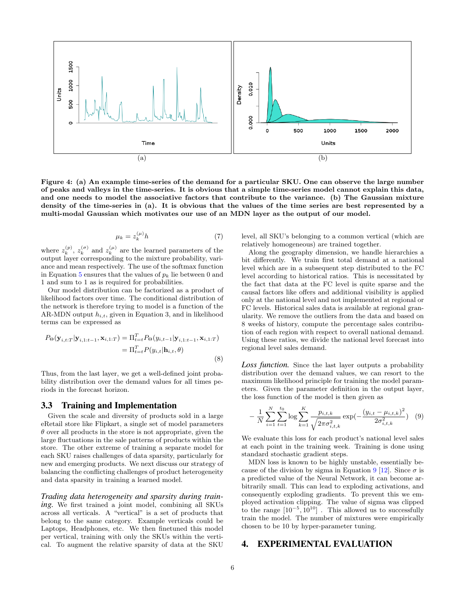

<span id="page-5-2"></span>Figure 4: (a) An example time-series of the demand for a particular SKU. One can observe the large number of peaks and valleys in the time-series. It is obvious that a simple time-series model cannot explain this data, and one needs to model the associative factors that contribute to the variance. (b) The Gaussian mixture density of the time-series in (a). It is obvious that the values of the time series are best represented by a multi-modal Gaussian which motivates our use of an MDN layer as the output of our model.

$$
\mu_k = z_k^{(\mu)} h \tag{7}
$$

where  $z_k^{(p)}$ ,  $z_k^{(\sigma)}$  and  $z_k^{(\mu)}$  are the learned parameters of the output layer corresponding to the mixture probability, variance and mean respectively. The use of the softmax function in Equation [5](#page-4-1) ensures that the values of  $p_k$  lie between 0 and 1 and sum to 1 as is required for probabilities.

Our model distribution can be factorized as a product of likelihood factors over time. The conditional distribution of the network is therefore trying to model is a function of the AR-MDN output  $h_{i,t}$ , given in Equation 3, and in likelihood terms can be expressed as

$$
P_{\Theta}(\mathbf{y}_{i,t:T}|\mathbf{y}_{i,1:t-1},\mathbf{x}_{i,1:T}) = \Pi_{t=t}^T P_{\Theta}(y_{i,t-1}|\mathbf{y}_{i,1:t-1},\mathbf{x}_{i,1:T})
$$
  
= 
$$
\Pi_{t=t}^T P(y_{i,t}|\mathbf{h}_{i,t},\theta)
$$
(8)

Thus, from the last layer, we get a well-defined joint probability distribution over the demand values for all times periods in the forecast horizon.

#### <span id="page-5-1"></span>3.3 Training and Implementation

Given the scale and diversity of products sold in a large eRetail store like Flipkart, a single set of model parameters  $\theta$  over all products in the store is not appropriate, given the large fluctuations in the sale patterns of products within the store. The other extreme of training a separate model for each SKU raises challenges of data sparsity, particularly for new and emerging products. We next discuss our strategy of balancing the conflicting challenges of product heterogeneity and data sparsity in training a learned model.

*Trading data heterogeneity and sparsity during training.* We first trained a joint model, combining all SKUs across all verticals. A "vertical" is a set of products that belong to the same category. Example verticals could be Laptops, Headphones, etc. We then finetuned this model per vertical, training with only the SKUs within the vertical. To augment the relative sparsity of data at the SKU level, all SKU's belonging to a common vertical (which are relatively homogeneous) are trained together.

Along the geography dimension, we handle hierarchies a bit differently. We train first total demand at a national level which are in a subsequent step distributed to the FC level according to historical ratios. This is necessitated by the fact that data at the FC level is quite sparse and the causal factors like offers and additional visibility is applied only at the national level and not implemented at regional or FC levels. Historical sales data is available at regional granularity. We remove the outliers from the data and based on 8 weeks of history, compute the percentage sales contribution of each region with respect to overall national demand. Using these ratios, we divide the national level forecast into regional level sales demand.

*Loss function.* Since the last layer outputs a probability distribution over the demand values, we can resort to the maximum likelihood principle for training the model parameters. Given the parameter definition in the output layer, the loss function of the model is then given as

<span id="page-5-3"></span>
$$
- \frac{1}{N} \sum_{i=1}^{N} \sum_{t=1}^{t_0} \log \sum_{k=1}^{K} \frac{p_{i,t,k}}{\sqrt{2\pi \sigma_{i,t,k}^2}} \exp(-\frac{(y_{i,t} - \mu_{i,t,k})^2}{2\sigma_{i,t,k}^2}) \quad (9)
$$

We evaluate this loss for each product's national level sales at each point in the training week. Training is done using standard stochastic gradient steps.

MDN loss is known to be highly unstable, essentially be-cause of the division by sigma in Equation [9](#page-5-3) [\[12\]](#page-11-26). Since  $\sigma$  is a predicted value of the Neural Network, it can become arbitrarily small. This can lead to exploding activations, and consequently exploding gradients. To prevent this we employed activation clipping. The value of sigma was clipped to the range  $[10^{-5}, 10^{10}]$ . This allowed us to successfully train the model. The number of mixtures were empirically chosen to be 10 by hyper-parameter tuning.

#### <span id="page-5-0"></span>4. EXPERIMENTAL EVALUATION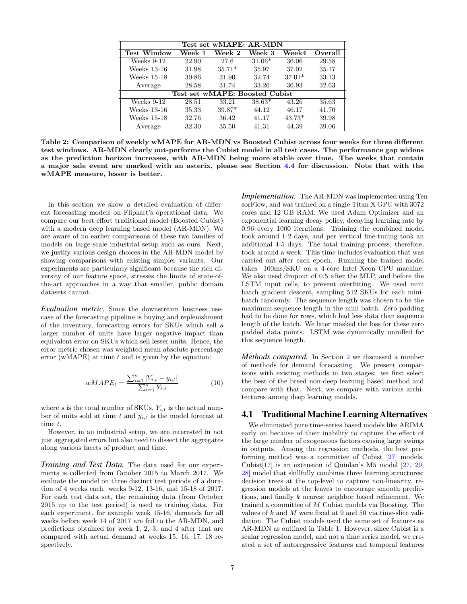| Test set wMAPE: AR-MDN         |        |          |          |          |         |  |  |  |
|--------------------------------|--------|----------|----------|----------|---------|--|--|--|
| <b>Test Window</b>             | Week 1 | Week 2   | Week 3   | Week4    | Overall |  |  |  |
| Weeks 9-12                     | 22.90  | 27.6     | $31.06*$ | 36.06    | 29.58   |  |  |  |
| Weeks 13-16                    | 31.98  | $35.71*$ | 35.97    | 37.02    | 35.17   |  |  |  |
| Weeks 15-18                    | 30.86  | 31.90    | 32.74    | $37.01*$ | 33.13   |  |  |  |
| Average                        | 28.58  | 31.74    | 33.26    | 36.93    | 32.63   |  |  |  |
| Test set wMAPE: Boosted Cubist |        |          |          |          |         |  |  |  |
| Weeks $9-12$                   | 28.51  | 33.21    | $38.63*$ | 43.26    | 35.63   |  |  |  |
| Weeks 13-16                    | 35.33  | $39.87*$ | 44.12    | 46.17    | 41.70   |  |  |  |
| Weeks 15-18                    | 32.76  | 36.42    | 41.17    | $43.73*$ | 39.98   |  |  |  |
| Average                        | 32.30  | 35.50    | 41.31    | 44.39    | 39.06   |  |  |  |

<span id="page-6-0"></span>Table 2: Comparison of weekly wMAPE for AR-MDN vs Boosted Cubist across four weeks for three different test windows. AR-MDN clearly out-performs the Cubist model in all test cases. The performance gap widens as the prediction horizon increases, with AR-MDN being more stable over time. The weeks that contain a major sale event are marked with an asterix, please see Section [4.4](#page-10-4) for discussion. Note that with the wMAPE measure, lesser is better.

In this section we show a detailed evaluation of different forecasting models on Flipkart's operational data. We compare our best effort traditional model (Boosted Cubist) with a modern deep learning based model (AR-MDN). We are aware of no earlier comparisons of these two families of models on large-scale industrial setup such as ours. Next, we justify various design choices in the AR-MDN model by showing comparisons with existing simpler variants. Our experiments are particularly significant because the rich diversity of our feature space, stresses the limits of state-ofthe-art approaches in a way that smaller, public domain datasets cannot.

*Evaluation metric.* Since the downstream business usecase of the forecasting pipeline is buying and replenishment of the inventory, forecasting errors for SKUs which sell a larger number of units have larger negative impact than equivalent error on SKUs which sell lesser units. Hence, the error metric chosen was weighted mean absolute percentage error (wMAPE) at time  $t$  and is given by the equation:

$$
wMAPE_t = \frac{\sum_{i=1}^{s} |Y_{i,t} - y_{i,t}|}{\sum_{i=1}^{s} Y_{i,t}}
$$
(10)

where s is the total number of SKUs,  $Y_{i,t}$  is the actual number of units sold at time t and  $y_{i,t}$  is the model forecast at time t.

However, in an industrial setup, we are interested in not just aggregated errors but also need to dissect the aggregates along various facets of product and time.

*Training and Test Data.* The data used for our experiments is collected from October 2015 to March 2017. We evaluate the model on three distinct test periods of a duration of 4 weeks each: weeks 9-12, 13-16, and 15-18 of 2017. For each test data set, the remaining data (from October 2015 up to the test period) is used as training data. For each experiment, for example week 15-16, demands for all weeks before week 14 of 2017 are fed to the AR-MDN, and predictions obtained for week 1, 2, 3, and 4 after that are compared with actual demand at weeks 15, 16, 17, 18 respectively.

*Implementation.* The AR-MDN was implemented using TensorFlow, and was trained on a single Titan X GPU with 3072 cores and 12 GB RAM. We used Adam Optimizer and an exponential learning decay policy, decaying learning rate by 0.96 every 1000 iterations. Training the combined model took around 1-2 days, and per vertical fine-tuning took an additional 4-5 days. The total training process, therefore, took around a week. This time includes evaluation that was carried out after each epoch. Running the trained model takes 100ms/SKU on a 4-core Intel Xeon CPU machine. We also used dropout of 0.5 after the MLP, and before the LSTM input cells, to prevent overfitting. We used mini batch gradient descent, sampling 512 SKUs for each minibatch randomly. The sequence length was chosen to be the maximum sequence length in the mini batch. Zero padding had to be done for rows, which had less data than sequence length of the batch. We later masked the loss for these zero padded data points. LSTM was dynamically unrolled for this sequence length.

*Methods compared.* In Section [2](#page-1-0) we discussed a number of methods for demand forecasting. We present comparisons with existing methods in two stages: we first select the best of the breed non-deep learning based method and compare with that. Next, we compare with various architectures among deep learning models.

## 4.1 Traditional Machine Learning Alternatives

We eliminated pure time-series based models like ARIMA early on because of their inability to capture the effect of the large number of exogeneous factors causing large swings in outputs. Among the regression methods, the best performing method was a committee of Cubist [\[27\]](#page-11-3) models. Cubist[\[17\]](#page-11-27) is an extension of Quinlan's M5 model [\[27,](#page-11-3) [29,](#page-11-28) [28\]](#page-11-29) model that skillfully combines three learning structures: decision trees at the top-level to capture non-linearity, regression models at the leaves to encourage smooth predictions, and finally k nearest neighbor based refinement. We trained a committee of M Cubist models via Boosting. The values of  $k$  and  $M$  were fixed at 9 and 50 via time-slice validation. The Cubist models used the same set of features as AR-MDN as outlined in Table [1.](#page-4-0) However, since Cubist is a scalar regression model, and not a time series model, we created a set of autoregressive features and temporal features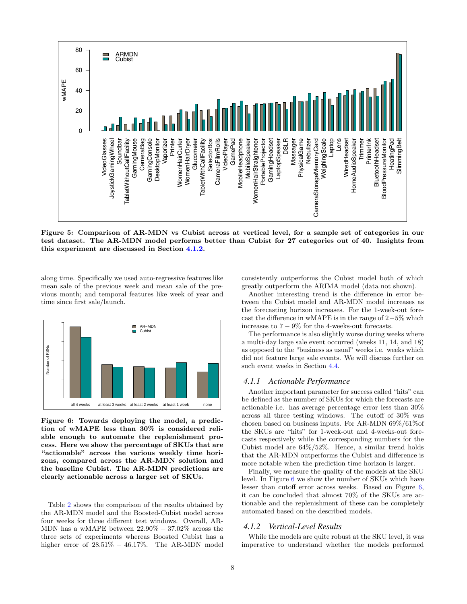

<span id="page-7-2"></span>Figure 5: Comparison of AR-MDN vs Cubist across at vertical level, for a sample set of categories in our test dataset. The AR-MDN model performs better than Cubist for 27 categories out of 40. Insights from this experiment are discussed in Section [4.1.2.](#page-7-0)

along time. Specifically we used auto-regressive features like mean sale of the previous week and mean sale of the previous month; and temporal features like week of year and time since first sale/launch.



<span id="page-7-1"></span>Figure 6: Towards deploying the model, a prediction of wMAPE less than 30% is considered reliable enough to automate the replenishment process. Here we show the percentage of SKUs that are "actionable" across the various weekly time horizons, compared across the AR-MDN solution and the baseline Cubist. The AR-MDN predictions are clearly actionable across a larger set of SKUs.

Table [2](#page-6-0) shows the comparison of the results obtained by the AR-MDN model and the Boosted-Cubist model across four weeks for three different test windows. Overall, AR-MDN has a wMAPE between 22.90% − 37.02% across the three sets of experiments whereas Boosted Cubist has a higher error of  $28.51\% - 46.17\%$ . The AR-MDN model consistently outperforms the Cubist model both of which greatly outperform the ARIMA model (data not shown).

Another interesting trend is the difference in error between the Cubist model and AR-MDN model increases as the forecasting horizon increases. For the 1-week-out forecast the difference in wMAPE is in the range of 2−5% which increases to  $7 - 9\%$  for the 4-weeks-out forecasts.

The performance is also slightly worse during weeks where a multi-day large sale event occurred (weeks 11, 14, and 18) as opposed to the "business as usual" weeks i.e. weeks which did not feature large sale events. We will discuss further on such event weeks in Section [4.4.](#page-10-4)

## *4.1.1 Actionable Performance*

Another important parameter for success called "hits" can be defined as the number of SKUs for which the forecasts are actionable i.e. has average percentage error less than 30% across all three testing windows. The cutoff of 30% was chosen based on business inputs. For AR-MDN 69%/61%of the SKUs are "hits" for 1-week-out and 4-weeks-out forecasts respectively while the corresponding numbers for the Cubist model are 64%/52%. Hence, a similar trend holds that the AR-MDN outperforms the Cubist and difference is more notable when the prediction time horizon is larger.

Finally, we measure the quality of the models at the SKU level. In Figure [6](#page-7-1) we show the number of SKUs which have lesser than cutoff error across weeks. Based on Figure [6,](#page-7-1) it can be concluded that almost 70% of the SKUs are actionable and the replenishment of these can be completely automated based on the described models.

## <span id="page-7-0"></span>*4.1.2 Vertical-Level Results*

While the models are quite robust at the SKU level, it was imperative to understand whether the models performed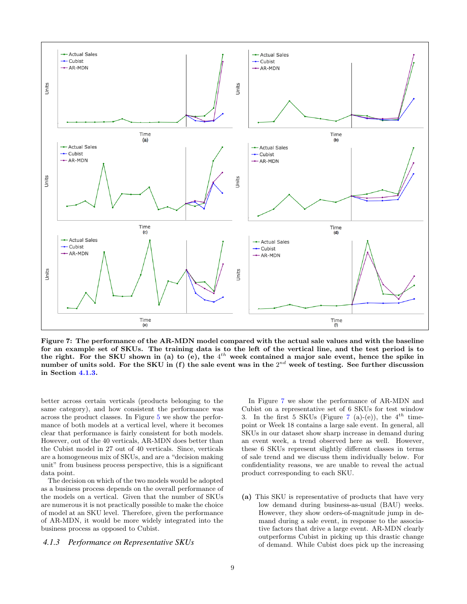

<span id="page-8-1"></span>Figure 7: The performance of the AR-MDN model compared with the actual sale values and with the baseline for an example set of SKUs. The training data is to the left of the vertical line, and the test period is to the right. For the SKU shown in (a) to (e), the  $4^{th}$  week contained a major sale event, hence the spike in number of units sold. For the SKU in (f) the sale event was in the  $2^{nd}$  week of testing. See further discussion in Section [4.1.3.](#page-8-0)

better across certain verticals (products belonging to the same category), and how consistent the performance was across the product classes. In Figure [5](#page-7-2) we show the performance of both models at a vertical level, where it becomes clear that performance is fairly consistent for both models. However, out of the 40 verticals, AR-MDN does better than the Cubist model in 27 out of 40 verticals. Since, verticals are a homogeneous mix of SKUs, and are a "decision making unit" from business process perspective, this is a significant data point.

The decision on which of the two models would be adopted as a business process depends on the overall performance of the models on a vertical. Given that the number of SKUs are numerous it is not practically possible to make the choice of model at an SKU level. Therefore, given the performance of AR-MDN, it would be more widely integrated into the business process as opposed to Cubist.

#### <span id="page-8-0"></span>*4.1.3 Performance on Representative SKUs*

In Figure [7](#page-8-1) we show the performance of AR-MDN and Cubist on a representative set of 6 SKUs for test window 3. In the first 5 SKUs (Figure [7](#page-8-1) (a)-(e)), the  $4^{th}$  timepoint or Week 18 contains a large sale event. In general, all SKUs in our dataset show sharp increase in demand during an event week, a trend observed here as well. However, these 6 SKUs represent slightly different classes in terms of sale trend and we discuss them individually below. For confidentiality reasons, we are unable to reveal the actual product corresponding to each SKU.

(a) This SKU is representative of products that have very low demand during business-as-usual (BAU) weeks. However, they show orders-of-magnitude jump in demand during a sale event, in response to the associative factors that drive a large event. AR-MDN clearly outperforms Cubist in picking up this drastic change of demand. While Cubist does pick up the increasing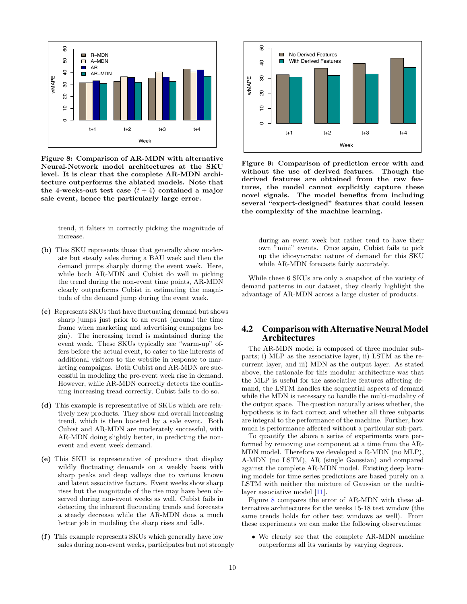

<span id="page-9-0"></span>Figure 8: Comparison of AR-MDN with alternative Neural-Network model architectures at the SKU level. It is clear that the complete AR-MDN architecture outperforms the ablated models. Note that the 4-weeks-out test case  $(t+4)$  contained a major sale event, hence the particularly large error.

trend, it falters in correctly picking the magnitude of increase.

- (b) This SKU represents those that generally show moderate but steady sales during a BAU week and then the demand jumps sharply during the event week. Here, while both AR-MDN and Cubist do well in picking the trend during the non-event time points, AR-MDN clearly outperforms Cubist in estimating the magnitude of the demand jump during the event week.
- (c) Represents SKUs that have fluctuating demand but shows sharp jumps just prior to an event (around the time frame when marketing and advertising campaigns begin). The increasing trend is maintained during the event week. These SKUs typically see "warm-up" offers before the actual event, to cater to the interests of additional visitors to the website in response to marketing campaigns. Both Cubist and AR-MDN are successful in modeling the pre-event week rise in demand. However, while AR-MDN correctly detects the continuing increasing tread correctly, Cubist fails to do so.
- (d) This example is representative of SKUs which are relatively new products. They show and overall increasing trend, which is then boosted by a sale event. Both Cubist and AR-MDN are moderately successful, with AR-MDN doing slightly better, in predicting the nonevent and event week demand.
- (e) This SKU is representative of products that display wildly fluctuating demands on a weekly basis with sharp peaks and deep valleys due to various known and latent associative factors. Event weeks show sharp rises but the magnitude of the rise may have been observed during non-event weeks as well. Cubist fails in detecting the inherent fluctuating trends and forecasts a steady decrease while the AR-MDN does a much better job in modeling the sharp rises and falls.
- (f) This example represents SKUs which generally have low sales during non-event weeks, participates but not strongly



<span id="page-9-1"></span>Figure 9: Comparison of prediction error with and without the use of derived features. Though the derived features are obtained from the raw features, the model cannot explicitly capture these novel signals. The model benefits from including several "expert-designed" features that could lessen the complexity of the machine learning.

during an event week but rather tend to have their own "mini" events. Once again, Cubist fails to pick up the idiosyncratic nature of demand for this SKU while AR-MDN forecasts fairly accurately.

While these 6 SKUs are only a snapshot of the variety of demand patterns in our dataset, they clearly highlight the advantage of AR-MDN across a large cluster of products.

### 4.2 Comparison with Alternative Neural Model Architectures

The AR-MDN model is composed of three modular subparts; i) MLP as the associative layer, ii) LSTM as the recurrent layer, and iii) MDN as the output layer. As stated above, the rationale for this modular architecture was that the MLP is useful for the associative features affecting demand, the LSTM handles the sequential aspects of demand while the MDN is necessary to handle the multi-modality of the output space. The question naturally arises whether, the hypothesis is in fact correct and whether all three subparts are integral to the performance of the machine. Further, how much is performance affected without a particular sub-part.

To quantify the above a series of experiments were performed by removing one component at a time from the AR-MDN model. Therefore we developed a R-MDN (no MLP), A-MDN (no LSTM), AR (single Gaussian) and compared against the complete AR-MDN model. Existing deep learning models for time series predictions are based purely on a LSTM with neither the mixture of Gaussian or the multilayer associative model [\[11\]](#page-11-23).

Figure [8](#page-9-0) compares the error of AR-MDN with these alternative architectures for the weeks 15-18 test window (the same trends holds for other test windows as well). From these experiments we can make the following observations:

• We clearly see that the complete AR-MDN machine outperforms all its variants by varying degrees.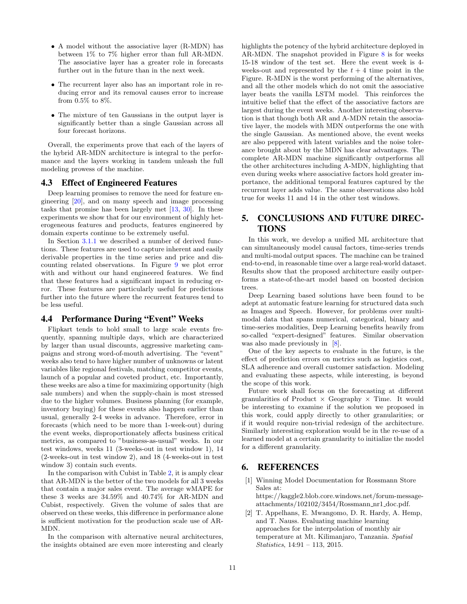- A model without the associative layer (R-MDN) has between 1% to 7% higher error than full AR-MDN. The associative layer has a greater role in forecasts further out in the future than in the next week.
- The recurrent layer also has an important role in reducing error and its removal causes error to increase from 0.5% to 8%.
- The mixture of ten Gaussians in the output layer is significantly better than a single Gaussian across all four forecast horizons.

Overall, the experiments prove that each of the layers of the hybrid AR-MDN architecture is integral to the performance and the layers working in tandem unleash the full modeling prowess of the machine.

### <span id="page-10-3"></span>4.3 Effect of Engineered Features

Deep learning promises to remove the need for feature engineering [\[20\]](#page-11-30), and on many speech and image processing tasks that promise has been largely met [\[13,](#page-11-31) [30\]](#page-11-32). In these experiments we show that for our environment of highly heterogeneous features and products, features engineered by domain experts continue to be extremely useful.

In Section [3.1.1](#page-2-3) we described a number of derived functions. These features are used to capture inherent and easily derivable properties in the time series and price and discounting related observations. In Figure [9](#page-9-1) we plot error with and without our hand engineered features. We find that these features had a significant impact in reducing error. These features are particularly useful for predictions further into the future where the recurrent features tend to be less useful.

# <span id="page-10-4"></span>4.4 Performance During "Event" Weeks

Flipkart tends to hold small to large scale events frequently, spanning multiple days, which are characterized by larger than usual discounts, aggressive marketing campaigns and strong word-of-mouth advertising. The "event" weeks also tend to have higher number of unknowns or latent variables like regional festivals, matching competitor events, launch of a popular and coveted product, etc. Importantly, these weeks are also a time for maximizing opportunity (high sale numbers) and when the supply-chain is most stressed due to the higher volumes. Business planning (for example, inventory buying) for these events also happen earlier than usual, generally 2-4 weeks in advance. Therefore, error in forecasts (which need to be more than 1-week-out) during the event weeks, disproportionately affects business critical metrics, as compared to "business-as-usual" weeks. In our test windows, weeks 11 (3-weeks-out in test window 1), 14 (2-weeks-out in test window 2), and 18 (4-weeks-out in test window 3) contain such events.

In the comparison with Cubist in Table [2,](#page-6-0) it is amply clear that AR-MDN is the better of the two models for all 3 weeks that contain a major sales event. The average wMAPE for these 3 weeks are 34.59% and 40.74% for AR-MDN and Cubist, respectively. Given the volume of sales that are observed on these weeks, this difference in performance alone is sufficient motivation for the production scale use of AR-MDN.

In the comparison with alternative neural architectures, the insights obtained are even more interesting and clearly highlights the potency of the hybrid architecture deployed in AR-MDN. The snapshot provided in Figure [8](#page-9-0) is for weeks 15-18 window of the test set. Here the event week is 4 weeks-out and represented by the  $t + 4$  time point in the Figure. R-MDN is the worst performing of the alternatives, and all the other models which do not omit the associative layer beats the vanilla LSTM model. This reinforces the intuitive belief that the effect of the associative factors are largest during the event weeks. Another interesting observation is that though both AR and A-MDN retain the associative layer, the models with MDN outperforms the one with the single Gaussian. As mentioned above, the event weeks are also peppered with latent variables and the noise tolerance brought about by the MDN has clear advantages. The complete AR-MDN machine significantly outperforms all the other architectures including A-MDN, highlighting that even during weeks where associative factors hold greater importance, the additional temporal features captured by the recurrent layer adds value. The same observations also hold true for weeks 11 and 14 in the other test windows.

## <span id="page-10-1"></span>5. CONCLUSIONS AND FUTURE DIREC-**TIONS**

In this work, we develop a unified ML architecture that can simultaneously model causal factors, time-series trends and multi-modal output spaces. The machine can be trained end-to-end, in reasonable time over a large real-world dataset. Results show that the proposed architecture easily outperforms a state-of-the-art model based on boosted decision trees.

Deep Learning based solutions have been found to be adept at automatic feature learning for structured data such as Images and Speech. However, for problems over multimodal data that spans numerical, categorical, binary and time-series modalities, Deep Learning benefits heavily from so-called "expert-designed" features. Similar observation was also made previously in [\[8\]](#page-11-33).

One of the key aspects to evaluate in the future, is the effect of prediction errors on metrics such as logistics cost, SLA adherence and overall customer satisfaction. Modeling and evaluating these aspects, while interesting, is beyond the scope of this work.

Future work shall focus on the forecasting at different granularities of Product  $\times$  Geography  $\times$  Time. It would be interesting to examine if the solution we proposed in this work, could apply directly to other granularities; or if it would require non-trivial redesign of the architecture. Similarly interesting exploration would be in the re-use of a learned model at a certain granularity to initialize the model for a different granularity.

## 6. REFERENCES

- <span id="page-10-0"></span>[1] Winning Model Documentation for Rossmann Store Sales at: https://kaggle2.blob.core.windows.net/forum-messageattachments/102102/3454/Rossmann nr1 doc.pdf.
- <span id="page-10-2"></span>[2] T. Appelhans, E. Mwangomo, D. R. Hardy, A. Hemp, and T. Nauss. Evaluating machine learning approaches for the interpolation of monthly air temperature at Mt. Kilimanjaro, Tanzania. Spatial Statistics, 14:91 – 113, 2015.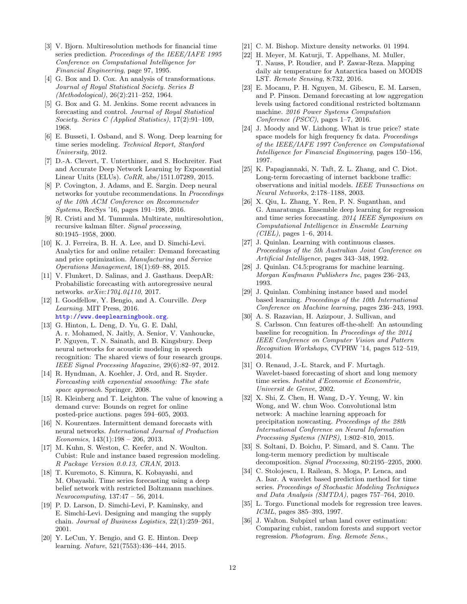- <span id="page-11-8"></span>[3] V. Bjorn. Multiresolution methods for financial time series prediction. Proceedings of the IEEE/IAFE 1995 Conference on Computational Intelligence for Financial Engineering, page 97, 1995.
- <span id="page-11-4"></span>[4] G. Box and D. Cox. An analysis of transformations. Journal of Royal Statistical Society. Series B (Methodological), 26(2):211–252, 1964.
- <span id="page-11-5"></span>[5] G. Box and G. M. Jenkins. Some recent advances in forecasting and control. Journal of Royal Statistical Society. Series C (Applied Statistics), 17(2):91–109, 1968.
- <span id="page-11-17"></span>[6] E. Busseti, I. Osband, and S. Wong. Deep learning for time series modeling. Technical Report, Stanford University, 2012.
- <span id="page-11-24"></span>[7] D.-A. Clevert, T. Unterthiner, and S. Hochreiter. Fast and Accurate Deep Network Learning by Exponential Linear Units (ELUs). CoRR, abs/1511.07289, 2015.
- <span id="page-11-33"></span>[8] P. Covington, J. Adams, and E. Sargin. Deep neural networks for youtube recommendations. In Proceedings of the 10th ACM Conference on Recommender Systems, RecSys '16, pages 191–198, 2016.
- <span id="page-11-10"></span>[9] R. Cristi and M. Tummula. Multirate, multiresolution, recursive kalman filter. Signal processing, 80:1945–1958, 2000.
- <span id="page-11-2"></span>[10] K. J. Ferreira, B. H. A. Lee, and D. Simchi-Levi. Analytics for and online retailer: Demand forecasting and price optimization. Manufacturing and Service Operations Management, 18(1):69–88, 2015.
- <span id="page-11-23"></span>[11] V. Flunkert, D. Salinas, and J. Gasthaus. DeepAR: Probabilistic forecasting with autoregressive neural networks. arXiv:1704.04110, 2017.
- <span id="page-11-26"></span>[12] I. Goodfellow, Y. Bengio, and A. Courville. *Deep* Learning. MIT Press, 2016. <http://www.deeplearningbook.org>.
- <span id="page-11-31"></span>[13] G. Hinton, L. Deng, D. Yu, G. E. Dahl, A. r. Mohamed, N. Jaitly, A. Senior, V. Vanhoucke, P. Nguyen, T. N. Sainath, and B. Kingsbury. Deep neural networks for acoustic modeling in speech recognition: The shared views of four research groups. IEEE Signal Processing Magazine, 29(6):82–97, 2012.
- <span id="page-11-6"></span>[14] R. Hyndman, A. Koehler, J. Ord, and R. Snyder. Forecasting with exponential smoothing: The state space approach. Springer, 2008.
- <span id="page-11-0"></span>[15] R. Kleinberg and T. Leighton. The value of knowing a demand curve: Bounds on regret for online posted-price auctions. pages 594–605, 2003.
- <span id="page-11-22"></span>[16] N. Kourentzes. Intermittent demand forecasts with neural networks. International Journal of Production  $Economics, 143(1):198 - 206, 2013.$
- <span id="page-11-27"></span>[17] M. Kuhn, S. Weston, C. Keefer, and N. Woulton. Cubist: Rule and instance based regression modeling. R Package Version 0.0.13, CRAN, 2013.
- <span id="page-11-20"></span>[18] T. Kuremoto, S. Kimura, K. Kobayashi, and M. Obayashi. Time series forecasting using a deep belief network with restricted Boltzmann machines. Neurocomputing, 137:47 – 56, 2014.
- <span id="page-11-1"></span>[19] P. D. Larson, D. Simchi-Levi, P. Kaminsky, and E. Simchi-Levi. Designing and manging the supply chain. Journal of Business Logistics, 22(1):259–261, 2001.
- <span id="page-11-30"></span>[20] Y. LeCun, Y. Bengio, and G. E. Hinton. Deep learning. Nature, 521(7553):436–444, 2015.
- <span id="page-11-25"></span>[21] C. M. Bishop. Mixture density networks. 01 1994.
- <span id="page-11-15"></span>[22] H. Meyer, M. Katurji, T. Appelhans, M. Muller, T. Nauss, P. Roudier, and P. Zawar-Reza. Mapping daily air temperature for Antarctica based on MODIS LST. Remote Sensing, 8:732, 2016.
- <span id="page-11-21"></span>[23] E. Mocanu, P. H. Nguyen, M. Gibescu, E. M. Larsen, and P. Pinson. Demand forecasting at low aggregation levels using factored conditional restricted boltzmann machine. 2016 Power Systems Computation Conference (PSCC), pages 1–7, 2016.
- <span id="page-11-9"></span>[24] J. Moody and W. Lizhong. What is true price? state space models for high frequency fx data. Proceedings of the IEEE/IAFE 1997 Conference on Computational Intelligence for Financial Engineering, pages 150–156, 1997.
- <span id="page-11-7"></span>[25] K. Papagiannaki, N. Taft, Z. L. Zhang, and C. Diot. Long-term forecasting of internet backbone traffic: observations and initial models. IEEE Transactions on Neural Networks, 2:178–1188, 2003.
- <span id="page-11-19"></span>[26] X. Qiu, L. Zhang, Y. Ren, P. N. Suganthan, and G. Amaratunga. Ensemble deep learning for regression and time series forecasting. 2014 IEEE Symposium on Computational Intelligence in Ensemble Learning  $(CIEL)$ , pages 1–6, 2014.
- <span id="page-11-3"></span>[27] J. Quinlan. Learning with continuous classes. Proceedings of the 5th Australian Joint Conference on Artificial Intelligence, pages 343–348, 1992.
- <span id="page-11-29"></span>[28] J. Quinlan. C4.5:programs for machine learning. Morgan Kaufmann Publishers Inc, pages 236–243, 1993.
- <span id="page-11-28"></span>[29] J. Quinlan. Combining instance based and model based learning. Proceedings of the 10th International Conference on Machine learning, pages 236–243, 1993.
- <span id="page-11-32"></span>[30] A. S. Razavian, H. Azizpour, J. Sullivan, and S. Carlsson. Cnn features off-the-shelf: An astounding baseline for recognition. In Proceedings of the 2014 IEEE Conference on Computer Vision and Pattern Recognition Workshops, CVPRW '14, pages 512–519, 2014.
- <span id="page-11-13"></span>[31] O. Renaud, J.-L. Starck, and F. Murtagh. Wavelet-based forecasting of short and long memory time series. Institut d'Economie et Economtrie, Universit de Genve, 2002.
- <span id="page-11-18"></span>[32] X. Shi, Z. Chen, H. Wang, D.-Y. Yeung, W. kin Wong, and W. chun Woo. Convolutional lstm network: A machine learning approach for precipitation nowcasting. Proceedings of the 28th International Conference on Neural Information Processing Systems (NIPS), 1:802–810, 2015.
- <span id="page-11-11"></span>[33] S. Soltani, D. Boichu, P. Simard, and S. Canu. The long-term memory prediction by multiscale decomposition. Signal Processing, 80:2195–2205, 2000.
- <span id="page-11-12"></span>[34] C. Stolojescu, I. Railean, S. Moga, P. Lenca, and A. Isar. A wavelet based prediction method for time series. Proceedings of Stochastic Modeling Techniques and Data Analysis (SMTDA), pages 757–764, 2010.
- <span id="page-11-14"></span>[35] L. Torgo. Functional models for regression tree leaves. ICML, pages 385–393, 1997.
- <span id="page-11-16"></span>[36] J. Walton. Subpixel urban land cover estimation: Comparing cubist, random forests and support vector regression. Photogram. Eng. Remote Sens.,